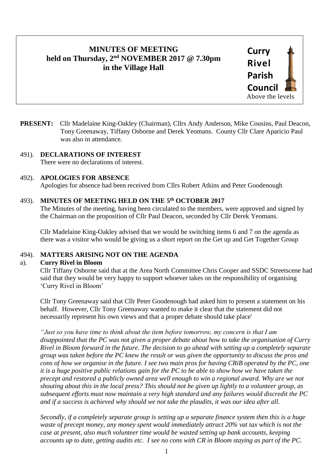# **MINUTES OF MEETING held on Thursday, 2 nd NOVEMBER 2017 @ 7.30pm in the Village Hall**



**PRESENT:** Cllr Madelaine King-Oakley (Chairman), Cllrs Andy Anderson, Mike Cousins, Paul Deacon, Tony Greenaway, Tiffany Osborne and Derek Yeomans. County Cllr Clare Aparicio Paul was also in attendance.

# 491). **DECLARATIONS OF INTEREST**

There were no declarations of interest.

#### 492). **APOLOGIES FOR ABSENCE**

Apologies for absence had been received from Cllrs Robert Atkins and Peter Goodenough

#### 493). **MINUTES OF MEETING HELD ON THE 5 th OCTOBER 2017**

The Minutes of the meeting, having been circulated to the members, were approved and signed by the Chairman on the proposition of Cllr Paul Deacon, seconded by Cllr Derek Yeomans.

Cllr Madelaine King-Oakley advised that we would be switching items 6 and 7 on the agenda as there was a visitor who would be giving us a short report on the Get up and Get Together Group

## 494). **MATTERS ARISING NOT ON THE AGENDA**

#### a). **Curry Rivel in Bloom**

Cllr Tiffany Osborne said that at the Area North Committee Chris Cooper and SSDC Streetscene had said that they would be very happy to support whoever takes on the responsibility of organising 'Curry Rivel in Bloom'

Cllr Tony Greenaway said that Cllr Peter Goodenough had asked him to present a statement on his behalf. However, Cllr Tony Greenaway wanted to make it clear that the statement did not necessarily represent his own views and that a proper debate should take place'

*"Just so you have time to think about the item before tomorrow, my concern is that I am disappointed that the PC was not given a proper debate about how to take the organisation of Curry Rivel in Bloom forward in the future. The decision to go ahead with setting up a completely separate group was taken before the PC knew the result or was given the opportunity to discuss the pros and cons of how we organise in the future. I see two main pros for having CRiB operated by the PC, one it is a huge positive public relations gain for the PC to be able to show how we have taken the precept and restored a publicly owned area well enough to win a regional award. Why are we not shouting about this in the local press? This should not be given up lightly to a volunteer group, as subsequent efforts must now maintain a very high standard and any failures would discredit the PC and if a success is achieved why should we not take the plaudits, it was our idea after all.*

*Secondly, if a completely separate group is setting up a separate finance system then this is a huge waste of precept money, any money spent would immediately attract 20% vat tax which is not the case at present, also much volunteer time would be wasted setting up bank accounts, keeping accounts up to date, getting audits etc. I see no cons with CR in Bloom staying as part of the PC.*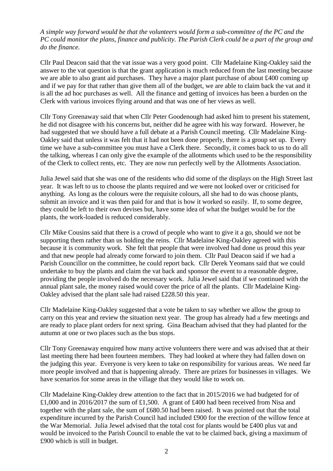*A simple way forward would be that the volunteers would form a sub-committee of the PC and the PC could monitor the plans, finance and publicity. The Parish Clerk could be a part of the group and do the finance.* 

Cllr Paul Deacon said that the vat issue was a very good point. Cllr Madelaine King-Oakley said the answer to the vat question is that the grant application is much reduced from the last meeting because we are able to also grant aid purchases. They have a major plant purchase of about £400 coming up and if we pay for that rather than give them all of the budget, we are able to claim back the vat and it is all the ad hoc purchases as well. All the finance and getting of invoices has been a burden on the Clerk with various invoices flying around and that was one of her views as well.

Cllr Tony Greenaway said that when Cllr Peter Goodenough had asked him to present his statement, he did not disagree with his concerns but, neither did he agree with his way forward. However, he had suggested that we should have a full debate at a Parish Council meeting. Cllr Madelaine King-Oakley said that unless it was felt that it had not been done properly, there is a group set up. Every time we have a sub-committee you must have a Clerk there. Secondly, it comes back to us to do all the talking, whereas I can only give the example of the allotments which used to be the responsibility of the Clerk to collect rents, etc. They are now run perfectly well by the Allotments Association.

Julia Jewel said that she was one of the residents who did some of the displays on the High Street last year. It was left to us to choose the plants required and we were not looked over or criticised for anything. As long as the colours were the requisite colours, all she had to do was choose plants, submit an invoice and it was then paid for and that is how it worked so easily. If, to some degree, they could be left to their own devises but, have some idea of what the budget would be for the plants, the work-loaded is reduced considerably.

Cllr Mike Cousins said that there is a crowd of people who want to give it a go, should we not be supporting them rather than us holding the reins. Cllr Madelaine King-Oakley agreed with this because it is community work. She felt that people that were involved had done us proud this year and that new people had already come forward to join them. Cllr Paul Deacon said if we had a Parish Councillor on the committee, he could report back. Cllr Derek Yeomans said that we could undertake to buy the plants and claim the vat back and sponsor the event to a reasonable degree, providing the people involved do the necessary work. Julia Jewel said that if we continued with the annual plant sale, the money raised would cover the price of all the plants. Cllr Madelaine King-Oakley advised that the plant sale had raised £228.50 this year.

Cllr Madelaine King-Oakley suggested that a vote be taken to say whether we allow the group to carry on this year and review the situation next year. The group has already had a few meetings and are ready to place plant orders for next spring. Gina Beacham advised that they had planted for the autumn at one or two places such as the bus stops.

Cllr Tony Greenaway enquired how many active volunteers there were and was advised that at their last meeting there had been fourteen members. They had looked at where they had fallen down on the judging this year. Everyone is very keen to take on responsibility for various areas. We need far more people involved and that is happening already. There are prizes for businesses in villages. We have scenarios for some areas in the village that they would like to work on.

Cllr Madelaine King-Oakley drew attention to the fact that in 2015/2016 we had budgeted for of £1,000 and in 2016/2017 the sum of £1,500. A grant of £400 had been received from Nisa and together with the plant sale, the sum of £680.50 had been raised. It was pointed out that the total expenditure incurred by the Parish Council had included £900 for the erection of the willow fence at the War Memorial. Julia Jewel advised that the total cost for plants would be £400 plus vat and would be invoiced to the Parish Council to enable the vat to be claimed back, giving a maximum of £900 which is still in budget.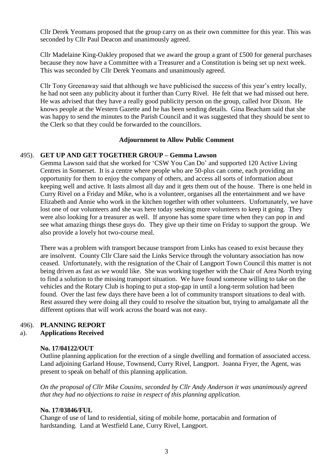Cllr Derek Yeomans proposed that the group carry on as their own committee for this year. This was seconded by Cllr Paul Deacon and unanimously agreed.

Cllr Madelaine King-Oakley proposed that we award the group a grant of £500 for general purchases because they now have a Committee with a Treasurer and a Constitution is being set up next week. This was seconded by Cllr Derek Yeomans and unanimously agreed.

Cllr Tony Greenaway said that although we have publicised the success of this year's entry locally, he had not seen any publicity about it further than Curry Rivel. He felt that we had missed out here. He was advised that they have a really good publicity person on the group, called Ivor Dixon. He knows people at the Western Gazette and he has been sending details. Gina Beacham said that she was happy to send the minutes to the Parish Council and it was suggested that they should be sent to the Clerk so that they could be forwarded to the councillors.

#### **Adjournment to Allow Public Comment**

#### 495). **GET UP AND GET TOGETHER GROUP – Gemma Lawson**

Gemma Lawson said that she worked for 'CSW You Can Do' and supported 120 Active Living Centres in Somerset. It is a centre where people who are 50-plus can come, each providing an opportunity for them to enjoy the company of others, and access all sorts of information about keeping well and active. It lasts almost all day and it gets them out of the house. There is one held in Curry Rivel on a Friday and Mike, who is a volunteer, organises all the entertainment and we have Elizabeth and Annie who work in the kitchen together with other volunteers. Unfortunately, we have lost one of our volunteers and she was here today seeking more volunteers to keep it going. They were also looking for a treasurer as well. If anyone has some spare time when they can pop in and see what amazing things these guys do. They give up their time on Friday to support the group. We also provide a lovely hot two-course meal.

There was a problem with transport because transport from Links has ceased to exist because they are insolvent. County Cllr Clare said the Links Service through the voluntary association has now ceased. Unfortunately, with the resignation of the Chair of Langport Town Council this matter is not being driven as fast as we would like. She was working together with the Chair of Area North trying to find a solution to the missing transport situation. We have found someone willing to take on the vehicles and the Rotary Club is hoping to put a stop-gap in until a long-term solution had been found. Over the last few days there have been a lot of community transport situations to deal with. Rest assured they were doing all they could to resolve the situation but, trying to amalgamate all the different options that will work across the board was not easy.

## 496). **PLANNING REPORT**

#### a). **Applications Received**

#### **No. 17/04122/OUT**

Outline planning application for the erection of a single dwelling and formation of associated access. Land adjoining Garland House, Townsend, Curry Rivel, Langport. Joanna Fryer, the Agent, was present to speak on behalf of this planning application.

*On the proposal of Cllr Mike Cousins, seconded by Cllr Andy Anderson it was unanimously agreed that they had no objections to raise in respect of this planning application.*

#### **No. 17/03846/FUL**

Change of use of land to residential, siting of mobile home, portacabin and formation of hardstanding. Land at Westfield Lane, Curry Rivel, Langport.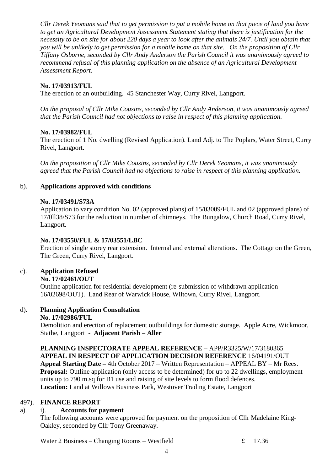*Cllr Derek Yeomans said that to get permission to put a mobile home on that piece of land you have to get an Agricultural Development Assessment Statement stating that there is justification for the necessity to be on site for about 220 days a year to look after the animals 24/7. Until you obtain that you will be unlikely to get permission for a mobile home on that site. On the proposition of Cllr Tiffany Osborne, seconded by Cllr Andy Anderson the Parish Council it was unanimously agreed to recommend refusal of this planning application on the absence of an Agricultural Development Assessment Report.*

## **No. 17/03913/FUL**

The erection of an outbuilding. 45 Stanchester Way, Curry Rivel, Langport.

*On the proposal of Cllr Mike Cousins, seconded by Cllr Andy Anderson, it was unanimously agreed that the Parish Council had not objections to raise in respect of this planning application.*

## **No. 17/03982/FUL**

The erection of 1 No. dwelling (Revised Application). Land Adj. to The Poplars, Water Street, Curry Rivel, Langport.

*On the proposition of Cllr Mike Cousins, seconded by Cllr Derek Yeomans, it was unanimously agreed that the Parish Council had no objections to raise in respect of this planning application.*

# b). **Applications approved with conditions**

## **No. 17/03491/S73A**

Application to vary condition No. 02 (approved plans) of 15/03009/FUL and 02 (approved plans) of 17/0ll38/S73 for the reduction in number of chimneys. The Bungalow, Church Road, Curry Rivel, Langport.

## **No. 17/03550/FUL & 17/03551/LBC**

Erection of single storey rear extension. Internal and external alterations. The Cottage on the Green, The Green, Curry Rivel, Langport.

## c). **Application Refused**

## **No. 17/02461/OUT**

Outline application for residential development (re-submission of withdrawn application 16/02698/OUT). Land Rear of Warwick House, Wiltown, Curry Rivel, Langport.

#### d). **Planning Application Consultation No. 17/02986/FUL**

Demolition and erection of replacement outbuildings for domestic storage. Apple Acre, Wickmoor, Stathe, Langport - **Adjacent Parish – Aller** 

**PLANNING INSPECTORATE APPEAL REFERENCE –** APP/R3325/W/17/3180365 **APPEAL IN RESPECT OF APPLICATION DECISION REFERENCE** 16/04191/OUT **Appeal Starting Date –** 4th October 2017 – Written Representation – APPEAL BY – Mr Rees. **Proposal:** Outline application (only access to be determined) for up to 22 dwellings, employment units up to 790 m.sq for B1 use and raising of site levels to form flood defences. **Location:** Land at Willows Business Park, Westover Trading Estate, Langport

## 497). **FINANCE REPORT**

## a). i). **Accounts for payment**

The following accounts were approved for payment on the proposition of Cllr Madelaine King-Oakley, seconded by Cllr Tony Greenaway.

Water 2 Business – Changing Rooms – Westfield  $\epsilon$  17.36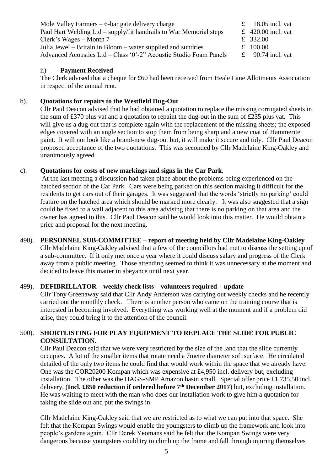| Mole Valley Farmers $-6$ -bar gate delivery charge                 | £ 18.05 incl. vat  |
|--------------------------------------------------------------------|--------------------|
| Paul Hart Welding Ltd – supply/fit handrails to War Memorial steps | £ 420.00 incl. vat |
| Clerk's Wages $-$ Month 7                                          | £ 332.00           |
| Julia Jewel – Britain in Bloom – water supplied and sundries       | £ $100.00$         |
| Advanced Acoustics Ltd – Class '0'-2" Acoustic Studio Foam Panels  | £ 90.74 incl. vat  |
|                                                                    |                    |

#### ii) **Payment Received**

The Clerk advised that a cheque for £60 had been received from Heale Lane Allotments Association in respect of the annual rent.

## b). **Quotations for repairs to the Westfield Dug-Out**

Cllr Paul Deacon advised that he had obtained a quotation to replace the missing corrugated sheets in the sum of £370 plus vat and a quotation to repaint the dug-out in the sum of £235 plus vat. This will give us a dug-out that is complete again with the replacement of the missing sheets; the exposed edges covered with an angle section to stop them from being sharp and a new coat of Hammerite paint. It will not look like a brand-new dug-out but, it will make it secure and tidy. Cllr Paul Deacon proposed acceptance of the two quotations. This was seconded by Cllr Madelaine King-Oakley and unanimously agreed.

## c). **Quotations for costs of new markings and signs in the Car Park.**

At the last meeting a discussion had taken place about the problems being experienced on the hatched section of the Car Park. Cars were being parked on this section making it difficult for the residents to get cars out of their garages. It was suggested that the words 'strictly no parking' could feature on the hatched area which should be marked more clearly. It was also suggested that a sign could be fixed to a wall adjacent to this area advising that there is no parking on that area and the owner has agreed to this. Cllr Paul Deacon said he would look into this matter. He would obtain a price and proposal for the next meeting.

## 498). **PERSONNEL SUB-COMMITTEE – report of meeting held by Cllr Madelaine King-Oakley**

Cllr Madelaine King-Oakley advised that a few of the councillors had met to discuss the setting up of a sub-committee. If it only met once a year where it could discuss salary and progress of the Clerk away from a public meeting. Those attending seemed to think it was unnecessary at the moment and decided to leave this matter in abeyance until next year.

## 499). **DEFIBRILLATOR – weekly check lists – volunteers required – update**

Cllr Tony Greenaway said that Cllr Andy Anderson was carrying out weekly checks and he recently carried out the monthly check. There is another person who came on the training course that is interested in becoming involved. Everything was working well at the moment and if a problem did arise, they could bring it to the attention of the council.

## 500). **SHORTLISTING FOR PLAY EQUIPMENT TO REPLACE THE SLIDE FOR PUBLIC CONSULTATION.**

Cllr Paul Deacon said that we were very restricted by the size of the land that the slide currently occupies. A lot of the smaller items that rotate need a 7metre diameter soft surface. He circulated detailed of the only two items he could find that would work within the space that we already have. One was the COR20200 Kompan which was expensive at £4,950 incl. delivery but, excluding installation. The other was the HAGS-SMP Amazon basin small. Special offer price £1,735.50 incl. delivery. (**Incl. £850 reduction if ordered before 7th December 2017**) but, excluding installation. He was waiting to meet with the man who does our installation work to give him a quotation for taking the slide out and put the swings in.

Cllr Madelaine King-Oakley said that we are restricted as to what we can put into that space. She felt that the Kompan Swings would enable the youngsters to climb up the framework and look into people's gardens again. Cllr Derek Yeomans said he felt that the Kompan Swings were very dangerous because youngsters could try to climb up the frame and fall through injuring themselves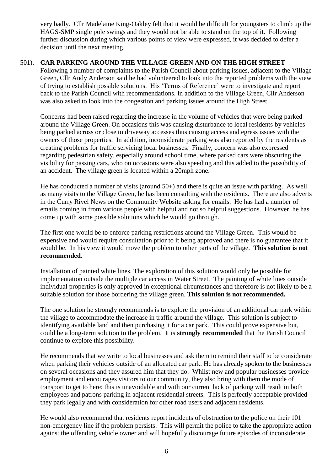very badly. Cllr Madelaine King-Oakley felt that it would be difficult for youngsters to climb up the HAGS-SMP single pole swings and they would not be able to stand on the top of it. Following further discussion during which various points of view were expressed, it was decided to defer a decision until the next meeting.

### 501). **CAR PARKING AROUND THE VILLAGE GREEN AND ON THE HIGH STREET**

Following a number of complaints to the Parish Council about parking issues, adjacent to the Village Green, Cllr Andy Anderson said he had volunteered to look into the reported problems with the view of trying to establish possible solutions. His 'Terms of Reference' were to investigate and report back to the Parish Council with recommendations. In addition to the Village Green, Cllr Anderson was also asked to look into the congestion and parking issues around the High Street.

Concerns had been raised regarding the increase in the volume of vehicles that were being parked around the Village Green. On occasions this was causing disturbance to local residents by vehicles being parked across or close to driveway accesses thus causing access and egress issues with the owners of those properties. In addition, inconsiderate parking was also reported by the residents as creating problems for traffic servicing local businesses. Finally, concern was also expressed regarding pedestrian safety, especially around school time, where parked cars were obscuring the visibility for passing cars, who on occasions were also speeding and this added to the possibility of an accident. The village green is located within a 20mph zone.

He has conducted a number of visits (around 50+) and there is quite an issue with parking. As well as many visits to the Village Green, he has been consulting with the residents. There are also adverts in the Curry Rivel News on the Community Website asking for emails. He has had a number of emails coming in from various people with helpful and not so helpful suggestions. However, he has come up with some possible solutions which he would go through.

The first one would be to enforce parking restrictions around the Village Green. This would be expensive and would require consultation prior to it being approved and there is no guarantee that it would be. In his view it would move the problem to other parts of the village. **This solution is not recommended.**

Installation of painted white lines. The exploration of this solution would only be possible for implementation outside the multiple car access in Water Street. The painting of white lines outside individual properties is only approved in exceptional circumstances and therefore is not likely to be a suitable solution for those bordering the village green. **This solution is not recommended.** 

The one solution he strongly recommends is to explore the provision of an additional car park within the village to accommodate the increase in traffic around the village. This solution is subject to identifying available land and then purchasing it for a car park. This could prove expensive but, could be a long-term solution to the problem. It is **strongly recommended** that the Parish Council continue to explore this possibility.

He recommends that we write to local businesses and ask them to remind their staff to be considerate when parking their vehicles outside of an allocated car park. He has already spoken to the businesses on several occasions and they assured him that they do. Whilst new and popular businesses provide employment and encourages visitors to our community, they also bring with them the mode of transport to get to here; this is unavoidable and with our current lack of parking will result in both employees and patrons parking in adjacent residential streets. This is perfectly acceptable provided they park legally and with consideration for other road users and adjacent residents.

He would also recommend that residents report incidents of obstruction to the police on their 101 non-emergency line if the problem persists. This will permit the police to take the appropriate action against the offending vehicle owner and will hopefully discourage future episodes of inconsiderate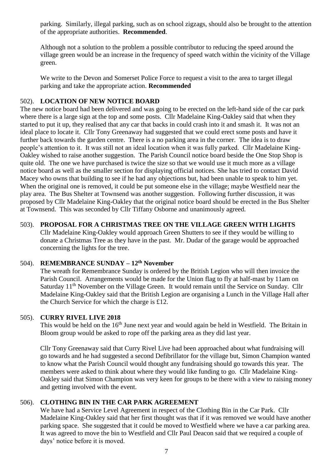parking. Similarly, illegal parking, such as on school zigzags, should also be brought to the attention of the appropriate authorities. **Recommended**.

Although not a solution to the problem a possible contributor to reducing the speed around the village green would be an increase in the frequency of speed watch within the vicinity of the Village green.

We write to the Devon and Somerset Police Force to request a visit to the area to target illegal parking and take the appropriate action. **Recommended**

# 502). **LOCATION OF NEW NOTICE BOARD**

The new notice board had been delivered and was going to be erected on the left-hand side of the car park where there is a large sign at the top and some posts. Cllr Madelaine King-Oakley said that when they started to put it up, they realised that any car that backs in could crash into it and smash it. It was not an ideal place to locate it. Cllr Tony Greenaway had suggested that we could erect some posts and have it further back towards the garden centre. There is a no parking area in the corner. The idea is to draw people's attention to it. It was still not an ideal location when it was fully parked. Cllr Madelaine King-Oakley wished to raise another suggestion. The Parish Council notice board beside the One Stop Shop is quite old. The one we have purchased is twice the size so that we would use it much more as a village notice board as well as the smaller section for displaying official notices. She has tried to contact David Macey who owns that building to see if he had any objections but, had been unable to speak to him yet. When the original one is removed, it could be put someone else in the village; maybe Westfield near the play area. The Bus Shelter at Townsend was another suggestion. Following further discussion, it was proposed by Cllr Madelaine King-Oakley that the original notice board should be erected in the Bus Shelter at Townsend. This was seconded by Cllr Tiffany Osborne and unanimously agreed.

# 503). **PROPOSAL FOR A CHRISTMAS TREE ON THE VILLAGE GREEN WITH LIGHTS**

Cllr Madelaine King-Oakley would approach Green Shutters to see if they would be willing to donate a Christmas Tree as they have in the past. Mr. Dudar of the garage would be approached concerning the lights for the tree.

# 504). **REMEMBRANCE SUNDAY – 12th November**

The wreath for Remembrance Sunday is ordered by the British Legion who will then invoice the Parish Council.Arrangements would be made for the Union flag to fly at half-mast by 11am on Saturday 11<sup>th</sup> November on the Village Green. It would remain until the Service on Sunday. Cllr Madelaine King-Oakley said that the British Legion are organising a Lunch in the Village Hall after the Church Service for which the charge is £12.

## 505). **CURRY RIVEL LIVE 2018**

This would be held on the 16<sup>th</sup> June next year and would again be held in Westfield. The Britain in Bloom group would be asked to rope off the parking area as they did last year.

Cllr Tony Greenaway said that Curry Rivel Live had been approached about what fundraising will go towards and he had suggested a second Defibrillator for the village but, Simon Champion wanted to know what the Parish Council would thought any fundraising should go towards this year. The members were asked to think about where they would like funding to go. Cllr Madelaine King-Oakley said that Simon Champion was very keen for groups to be there with a view to raising money and getting involved with the event.

# 506). **CLOTHING BIN IN THE CAR PARK AGREEMENT**

We have had a Service Level Agreement in respect of the Clothing Bin in the Car Park. Cllr Madelaine King-Oakley said that her first thought was that if it was removed we would have another parking space. She suggested that it could be moved to Westfield where we have a car parking area. It was agreed to move the bin to Westfield and Cllr Paul Deacon said that we required a couple of days' notice before it is moved.